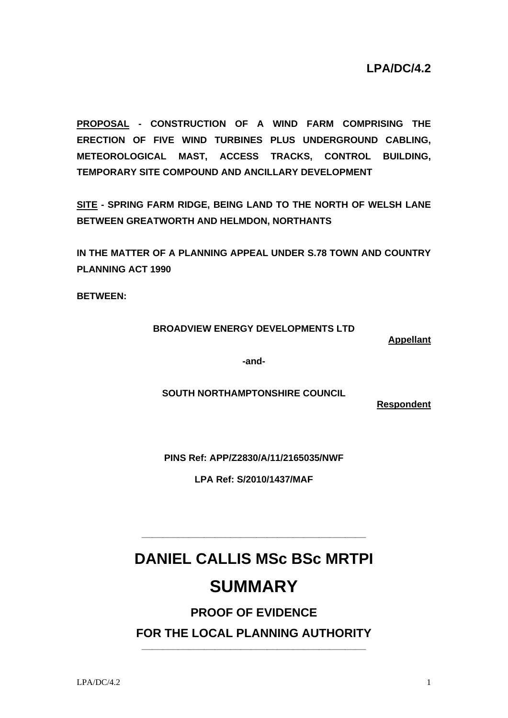**PROPOSAL - CONSTRUCTION OF A WIND FARM COMPRISING THE ERECTION OF FIVE WIND TURBINES PLUS UNDERGROUND CABLING, METEOROLOGICAL MAST, ACCESS TRACKS, CONTROL BUILDING, TEMPORARY SITE COMPOUND AND ANCILLARY DEVELOPMENT** 

**SITE - SPRING FARM RIDGE, BEING LAND TO THE NORTH OF WELSH LANE BETWEEN GREATWORTH AND HELMDON, NORTHANTS** 

**IN THE MATTER OF A PLANNING APPEAL UNDER S.78 TOWN AND COUNTRY PLANNING ACT 1990** 

**BETWEEN:** 

### **BROADVIEW ENERGY DEVELOPMENTS LTD**

**Appellant**

**-and-**

**SOUTH NORTHAMPTONSHIRE COUNCIL** 

**Respondent**

**PINS Ref: APP/Z2830/A/11/2165035/NWF** 

**LPA Ref: S/2010/1437/MAF**

# **DANIEL CALLIS MSc BSc MRTPI**

**\_\_\_\_\_\_\_\_\_\_\_\_\_\_\_\_\_\_\_\_\_\_\_\_\_\_\_\_\_\_\_\_\_\_\_\_\_\_\_\_\_\_\_** 

# **SUMMARY**

## **PROOF OF EVIDENCE**

**FOR THE LOCAL PLANNING AUTHORITY \_\_\_\_\_\_\_\_\_\_\_\_\_\_\_\_\_\_\_\_\_\_\_\_\_\_\_\_\_\_\_\_\_\_\_\_\_\_\_\_\_\_\_**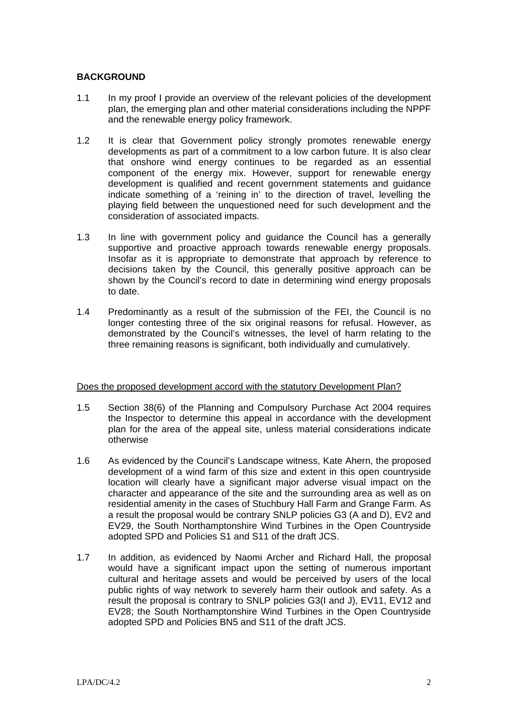### **BACKGROUND**

- 1.1 In my proof I provide an overview of the relevant policies of the development plan, the emerging plan and other material considerations including the NPPF and the renewable energy policy framework.
- 1.2 It is clear that Government policy strongly promotes renewable energy developments as part of a commitment to a low carbon future. It is also clear that onshore wind energy continues to be regarded as an essential component of the energy mix. However, support for renewable energy development is qualified and recent government statements and guidance indicate something of a 'reining in' to the direction of travel, levelling the playing field between the unquestioned need for such development and the consideration of associated impacts.
- 1.3 In line with government policy and guidance the Council has a generally supportive and proactive approach towards renewable energy proposals. Insofar as it is appropriate to demonstrate that approach by reference to decisions taken by the Council, this generally positive approach can be shown by the Council's record to date in determining wind energy proposals to date.
- 1.4 Predominantly as a result of the submission of the FEI, the Council is no longer contesting three of the six original reasons for refusal. However, as demonstrated by the Council's witnesses, the level of harm relating to the three remaining reasons is significant, both individually and cumulatively.

### Does the proposed development accord with the statutory Development Plan?

- 1.5 Section 38(6) of the Planning and Compulsory Purchase Act 2004 requires the Inspector to determine this appeal in accordance with the development plan for the area of the appeal site, unless material considerations indicate otherwise
- 1.6 As evidenced by the Council's Landscape witness, Kate Ahern, the proposed development of a wind farm of this size and extent in this open countryside location will clearly have a significant major adverse visual impact on the character and appearance of the site and the surrounding area as well as on residential amenity in the cases of Stuchbury Hall Farm and Grange Farm. As a result the proposal would be contrary SNLP policies G3 (A and D), EV2 and EV29, the South Northamptonshire Wind Turbines in the Open Countryside adopted SPD and Policies S1 and S11 of the draft JCS.
- 1.7 In addition, as evidenced by Naomi Archer and Richard Hall, the proposal would have a significant impact upon the setting of numerous important cultural and heritage assets and would be perceived by users of the local public rights of way network to severely harm their outlook and safety. As a result the proposal is contrary to SNLP policies G3(I and J), EV11, EV12 and EV28; the South Northamptonshire Wind Turbines in the Open Countryside adopted SPD and Policies BN5 and S11 of the draft JCS.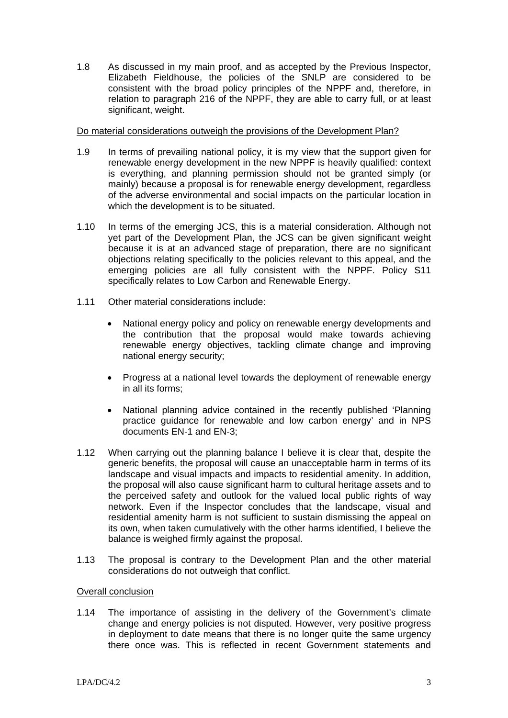1.8 As discussed in my main proof, and as accepted by the Previous Inspector, Elizabeth Fieldhouse, the policies of the SNLP are considered to be consistent with the broad policy principles of the NPPF and, therefore, in relation to paragraph 216 of the NPPF, they are able to carry full, or at least significant, weight.

#### Do material considerations outweigh the provisions of the Development Plan?

- 1.9 In terms of prevailing national policy, it is my view that the support given for renewable energy development in the new NPPF is heavily qualified: context is everything, and planning permission should not be granted simply (or mainly) because a proposal is for renewable energy development, regardless of the adverse environmental and social impacts on the particular location in which the development is to be situated.
- 1.10 In terms of the emerging JCS, this is a material consideration. Although not yet part of the Development Plan, the JCS can be given significant weight because it is at an advanced stage of preparation, there are no significant objections relating specifically to the policies relevant to this appeal, and the emerging policies are all fully consistent with the NPPF. Policy S11 specifically relates to Low Carbon and Renewable Energy.
- 1.11 Other material considerations include:
	- National energy policy and policy on renewable energy developments and the contribution that the proposal would make towards achieving renewable energy objectives, tackling climate change and improving national energy security;
	- Progress at a national level towards the deployment of renewable energy in all its forms;
	- National planning advice contained in the recently published 'Planning practice guidance for renewable and low carbon energy' and in NPS documents EN-1 and EN-3;
- 1.12 When carrying out the planning balance I believe it is clear that, despite the generic benefits, the proposal will cause an unacceptable harm in terms of its landscape and visual impacts and impacts to residential amenity. In addition, the proposal will also cause significant harm to cultural heritage assets and to the perceived safety and outlook for the valued local public rights of way network. Even if the Inspector concludes that the landscape, visual and residential amenity harm is not sufficient to sustain dismissing the appeal on its own, when taken cumulatively with the other harms identified, I believe the balance is weighed firmly against the proposal.
- 1.13 The proposal is contrary to the Development Plan and the other material considerations do not outweigh that conflict.

#### Overall conclusion

1.14 The importance of assisting in the delivery of the Government's climate change and energy policies is not disputed. However, very positive progress in deployment to date means that there is no longer quite the same urgency there once was. This is reflected in recent Government statements and